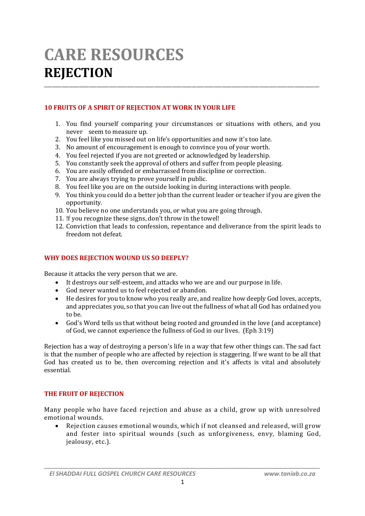# **CARE RESOURCES REJECTION**

## **10 FRUITS OF A SPIRIT OF REJECTION AT WORK IN YOUR LIFE**

1. You find yourself comparing your circumstances or situations with others, and you never seem to measure up.

\_\_\_\_\_\_\_\_\_\_\_\_\_\_\_\_\_\_\_\_\_\_\_\_\_\_\_\_\_\_\_\_\_\_\_\_\_\_\_\_\_\_\_\_\_\_\_\_\_\_\_\_\_\_\_\_\_\_\_\_\_\_\_\_\_\_\_\_\_\_\_\_\_\_\_\_\_\_\_\_\_\_\_\_\_\_\_\_\_\_\_\_\_\_\_\_\_\_\_\_\_\_\_\_\_\_\_\_\_\_

- 2. You feel like you missed out on life's opportunities and now it's too late.
- 3. No amount of encouragement is enough to convince you of your worth.
- 4. You feel rejected if you are not greeted or acknowledged by leadership.
- 5. You constantly seek the approval of others and suffer from people pleasing.
- 6. You are easily offended or embarrassed from discipline or correction.
- 7. You are always trying to prove yourself in public.
- 8. You feel like you are on the outside looking in during interactions with people.
- 9. You think you could do a better job than the current leader or teacher if you are given the opportunity.
- 10. You believe no one understands you, or what you are going through.
- 11. !f you recognize these signs, don't throw in the towel!
- 12. Conviction that leads to confession, repentance and deliverance from the spirit leads to freedom not defeat.

## **WHY DOES REJECTION WOUND US SO DEEPLY?**

Because it attacks the very person that we are.

- It destroys our self-esteem, and attacks who we are and our purpose in life.
- God never wanted us to feel rejected or abandon.
- He desires for you to know who you really are, and realize how deeply God loves, accepts, and appreciates you, so that you can live out the fullness of what all God has ordained you to be.
- God's Word tells us that without being rooted and grounded in the love (and acceptance) of God, we cannot experience the fullness of God in our lives. (Eph 3:19)

Rejection has a way of destroying a person's life in a way that few other things can. The sad fact is that the number of people who are affected by rejection is staggering. If we want to be all that God has created us to be, then overcoming rejection and it's affects is vital and absolutely essential.

#### **THE FRUIT OF REJECTION**

Many people who have faced rejection and abuse as a child, grow up with unresolved emotional wounds.

 Rejection causes emotional wounds, which if not cleansed and released, will grow and fester into spiritual wounds (such as unforgiveness, envy, blaming God, jealousy, etc.).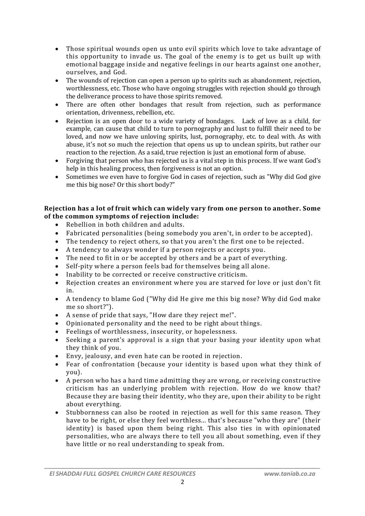- Those spiritual wounds open us unto evil spirits which love to take advantage of this opportunity to invade us. The goal of the enemy is to get us built up with emotional baggage inside and negative feelings in our hearts against one another, ourselves, and God.
- The wounds of rejection can open a person up to spirits such as abandonment, rejection, worthlessness, etc. Those who have ongoing struggles with rejection should go through the deliverance process to have those spirits removed.
- There are often other bondages that result from rejection, such as performance orientation, drivenness, rebellion, etc.
- Rejection is an open door to a wide variety of bondages. Lack of love as a child, for example, can cause that child to turn to pornography and lust to fulfill their need to be loved, and now we have unloving spirits, lust, pornography, etc. to deal with. As with abuse, it's not so much the rejection that opens us up to unclean spirits, but rather our reaction to the rejection. As a said, true rejection is just an emotional form of abuse.
- Forgiving that person who has rejected us is a vital step in this process. If we want God's help in this healing process, then forgiveness is not an option.
- Sometimes we even have to forgive God in cases of rejection, such as "Why did God give me this big nose? Or this short body?"

## **Rejection has a lot of fruit which can widely vary from one person to another. Some of the common symptoms of rejection include:**

- Rebellion in both children and adults.
- Fabricated personalities (being somebody you aren't, in order to be accepted).
- The tendency to reject others, so that you aren't the first one to be rejected.
- A tendency to always wonder if a person rejects or accepts you.
- The need to fit in or be accepted by others and be a part of everything.
- Self-pity where a person feels bad for themselves being all alone.
- $\bullet$  Inability to be corrected or receive constructive criticism.
- Rejection creates an environment where you are starved for love or just don't fit in.
- A tendency to blame God ("Why did He give me this big nose? Why did God make me so short?").
- A sense of pride that says, "How dare they reject me!".
- Opinionated personality and the need to be right about things.
- Feelings of worthlessness, insecurity, or hopelessness.
- Seeking a parent's approval is a sign that your basing your identity upon what they think of you.
- Envy, jealousy, and even hate can be rooted in rejection.
- Fear of confrontation (because your identity is based upon what they think of you).
- A person who has a hard time admitting they are wrong, or receiving constructive criticism has an underlying problem with rejection. How do we know that? Because they are basing their identity, who they are, upon their ability to be right about everything.
- Stubbornness can also be rooted in rejection as well for this same reason. They have to be right, or else they feel worthless... that's because "who they are" (their identity) is based upon them being right. This also ties in with opinionated personalities, who are always there to tell you all about something, even if they have little or no real understanding to speak from.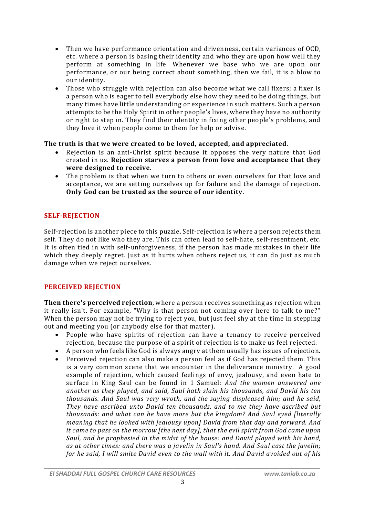- Then we have performance orientation and drivenness, certain variances of OCD, etc. where a person is basing their identity and who they are upon how well they perform at something in life. Whenever we base who we are upon our performance, or our being correct about something, then we fail, it is a blow to our identity.
- Those who struggle with rejection can also become what we call fixers; a fixer is a person who is eager to tell everybody else how they need to be doing things, but many times have little understanding or experience in such matters. Such a person attempts to be the Holy Spirit in other people's lives, where they have no authority or right to step in. They find their identity in fixing other people's problems, and they love it when people come to them for help or advise.

## **The truth is that we were created to be loved, accepted, and appreciated.**

- Rejection is an anti-Christ spirit because it opposes the very nature that God created in us. **Rejection starves a person from love and acceptance that they were designed to receive.**
- The problem is that when we turn to others or even ourselves for that love and acceptance, we are setting ourselves up for failure and the damage of rejection. **Only God can be trusted as the source of our identity.**

# **SELF-REJECTION**

Self-rejection is another piece to this puzzle. Self-rejection is where a person rejects them self. They do not like who they are. This can often lead to self-hate, self-resentment, etc. It is often tied in with self-unforgiveness, if the person has made mistakes in their life which they deeply regret. Just as it hurts when others reject us, it can do just as much damage when we reject ourselves.

# **PERCEIVED REJECTION**

**Then there's perceived rejection**, where a person receives something as rejection when it really isn't. For example, "Why is that person not coming over here to talk to me?" When the person may not be trying to reject you, but just feel shy at the time in stepping out and meeting you (or anybody else for that matter).

- People who have spirits of rejection can have a tenancy to receive perceived rejection, because the purpose of a spirit of rejection is to make us feel rejected.
- A person who feels like God is always angry at them usually has issues of rejection.
- Perceived rejection can also make a person feel as if God has rejected them. This is a very common scene that we encounter in the deliverance ministry. A good example of rejection, which caused feelings of envy, jealousy, and even hate to surface in King Saul can be found in 1 Samuel: *And the women answered one another as they played, and said, Saul hath slain his thousands, and David his ten thousands. And Saul was very wroth, and the saying displeased him; and he said, They have ascribed unto David ten thousands, and to me they have ascribed but thousands: and what can he have more but the kingdom? And Saul eyed [literally meaning that he looked with jealousy upon] David from that day and forward. And it came to pass on the morrow [the next day], that the evil spirit from God came upon Saul, and he prophesied in the midst of the house: and David played with his hand, as at other times: and there was a javelin in Saul's hand. And Saul cast the javelin; for he said, I will smite David even to the wall with it. And David avoided out of his*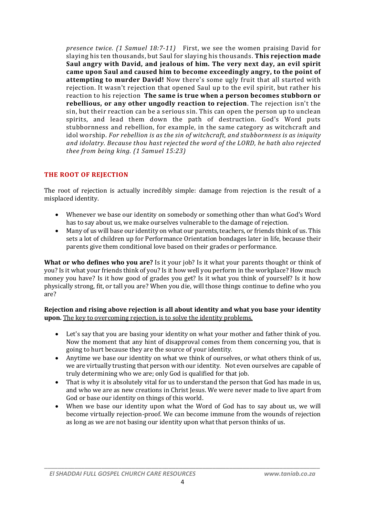*presence twice. (1 Samuel 18:7-11)* First, we see the women praising David for slaying his ten thousands, but Saul for slaying his thousands. **This rejection made Saul angry with David, and jealous of him. The very next day, an evil spirit came upon Saul and caused him to become exceedingly angry, to the point of attempting to murder David!** Now there's some ugly fruit that all started with rejection. It wasn't rejection that opened Saul up to the evil spirit, but rather his reaction to his rejection**The same is true when a person becomes stubborn or rebellious, or any other ungodly reaction to rejection**. The rejection isn't the sin, but their reaction can be a serious sin. This can open the person up to unclean spirits, and lead them down the path of destruction. God's Word puts stubbornness and rebellion, for example, in the same category as witchcraft and idol worship. *For rebellion is as the sin of witchcraft, and stubbornness is as iniquity and idolatry. Because thou hast rejected the word of the LORD, he hath also rejected thee from being king. (1 Samuel 15:23)*

## **THE ROOT OF REJECTION**

The root of rejection is actually incredibly simple: damage from rejection is the result of a misplaced identity.

- Whenever we base our identity on somebody or something other than what God's Word has to say about us, we make ourselves vulnerable to the damage of rejection.
- Many of us will base our identity on what our parents, teachers, or friends think of us. This sets a lot of children up for Performance Orientation bondages later in life, because their parents give them conditional love based on their grades or performance.

**What or who defines who you are?** Is it your job? Is it what your parents thought or think of you? Is it what your friends think of you? Is it how well you perform in the workplace? How much money you have? Is it how good of grades you get? Is it what you think of yourself? Is it how physically strong, fit, or tall you are? When you die, will those things continue to define who you are?

#### **Rejection and rising above rejection is all about identity and what you base your identity upon.** The key to overcoming rejection, is to solve the identity problems.

- Let's say that you are basing your identity on what your mother and father think of you. Now the moment that any hint of disapproval comes from them concerning you, that is going to hurt because they are the source of your identity.
- Anytime we base our identity on what we think of ourselves, or what others think of us, we are virtually trusting that person with our identity. Not even ourselves are capable of truly determining who we are; only God is qualified for that job.
- That is why it is absolutely vital for us to understand the person that God has made in us, and who we are as new creations in Christ Jesus. We were never made to live apart from God or base our identity on things of this world.
- When we base our identity upon what the Word of God has to say about us, we will become virtually rejection-proof. We can become immune from the wounds of rejection as long as we are not basing our identity upon what that person thinks of us.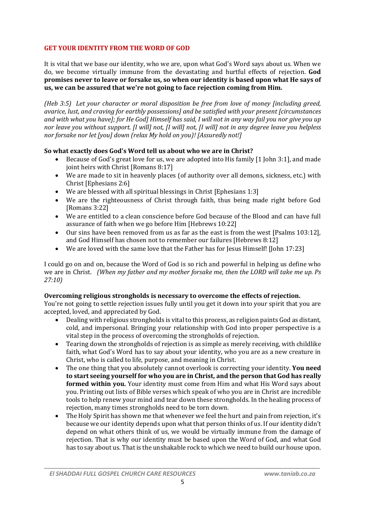## **GET YOUR IDENTITY FROM THE WORD OF GOD**

It is vital that we base our identity, who we are, upon what God's Word says about us. When we do, we become virtually immune from the devastating and hurtful effects of rejection. **God promises never to leave or forsake us, so when our identity is based upon what He says of us, we can be assured that we're not going to face rejection coming from Him.**

*(Heb 3:5) Let your character or moral disposition be free from love of money [including greed, avarice, lust, and craving for earthly possessions] and be satisfied with your present [circumstances and with what you have]; for He God] Himself has said, I will not in any way fail you nor give you up nor leave you without support. [I will] not, [I will] not, [I will] not in any degree leave you helpless nor forsake nor let [you] down (relax My hold on you)! [Assuredly not!]*

#### **So what exactly does God's Word tell us about who we are in Christ?**

- Because of God's great love for us, we are adopted into His family [1 John 3:1], and made joint heirs with Christ [Romans 8:17]
- We are made to sit in heavenly places (of authority over all demons, sickness, etc.) with Christ [Ephesians 2:6]
- We are blessed with all spiritual blessings in Christ [Ephesians 1:3]
- We are the righteousness of Christ through faith, thus being made right before God [Romans 3:22]
- We are entitled to a clean conscience before God because of the Blood and can have full assurance of faith when we go before Him [Hebrews 10:22]
- Our sins have been removed from us as far as the east is from the west [Psalms 103:12], and God Himself has chosen not to remember our failures [Hebrews 8:12]
- We are loved with the same love that the Father has for Jesus Himself! [John 17:23]

I could go on and on, because the Word of God is so rich and powerful in helping us define who we are in Christ. *(When my father and my mother forsake me, then the LORD will take me up. Ps 27:10)*

#### **Overcoming religious strongholds is necessary to overcome the effects of rejection.**

You're not going to settle rejection issues fully until you get it down into your spirit that you are accepted, loved, and appreciated by God.

- Dealing with religious strongholds is vital to this process, as religion paints God as distant, cold, and impersonal. Bringing your relationship with God into proper perspective is a vital step in the process of overcoming the strongholds of rejection.
- Tearing down the strongholds of rejection is as simple as merely receiving, with childlike faith, what God's Word has to say about your identity, who you are as a new creature in Christ, who is called to life, purpose, and meaning in Christ.
- The one thing that you absolutely cannot overlook is correcting your identity. **You need to start seeing yourself for who you are in Christ, and the person that God has really formed within you.** Your identity must come from Him and what His Word says about you. Printing out lists of Bible verses which speak of who you are in Christ are incredible tools to help renew your mind and tear down these strongholds. In the healing process of rejection, many times strongholds need to be torn down.
- The Holy Spirit has shown me that whenever we feel the hurt and pain from rejection, it's because we our identity depends upon what that person thinks of us. If our identity didn't depend on what others think of us, we would be virtually immune from the damage of rejection. That is why our identity must be based upon the Word of God, and what God has to say about us. That is the unshakable rock to which we need to build our house upon.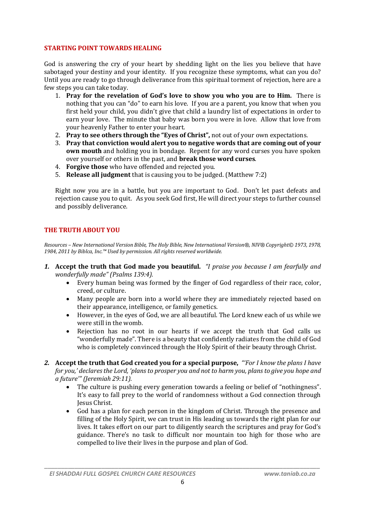#### **STARTING POINT TOWARDS HEALING**

God is answering the cry of your heart by shedding light on the lies you believe that have sabotaged your destiny and your identity. If you recognize these symptoms, what can you do? Until you are ready to go through deliverance from this spiritual torment of rejection, here are a few steps you can take today.

- 1. **Pray for the revelation of God's love to show you who you are to Him.** There is nothing that you can "do" to earn his love. If you are a parent, you know that when you first held your child, you didn't give that child a laundry list of expectations in order to earn your love. The minute that baby was born you were in love. Allow that love from your heavenly Father to enter your heart.
- 2. **Pray to see others through the "Eyes of Christ",** not out of your own expectations.
- 3. **Pray that conviction would alert you to negative words that are coming out of your own mouth** and holding you in bondage. Repent for any word curses you have spoken over yourself or others in the past, and **break those word curses**.
- 4. **Forgive those** who have offended and rejected you.
- 5. **Release all judgment** that is causing you to be judged. (Matthew 7:2)

Right now you are in a battle, but you are important to God. Don't let past defeats and rejection cause you to quit. As you seek God first, He will direct your steps to further counsel and possibly deliverance.

## **THE TRUTH ABOUT YOU**

*Resources – New International Version Bible, The Holy Bible, New International Version®, NIV® Copyright© 1973, 1978, 1984, 2011 by Biblca, Inc.™ Used by permission. All rights reserved worldwide.*

- *1.* **Accept the truth that God made you beautiful.** *"I praise you because I am fearfully and wonderfully made" (Psalms 139:4).* 
	- Every human being was formed by the finger of God regardless of their race, color, creed, or culture.
	- Many people are born into a world where they are immediately rejected based on their appearance, intelligence, or family genetics.
	- However, in the eyes of God, we are all beautiful. The Lord knew each of us while we were still in the womb.
	- Rejection has no root in our hearts if we accept the truth that God calls us "wonderfully made". There is a beauty that confidently radiates from the child of God who is completely convinced through the Holy Spirit of their beauty through Christ.

*2.* **Accept the truth that God created you for a special purpose,** *"'For I know the plans I have for you,' declares the Lord, 'plans to prosper you and not to harm you, plans to give you hope and a future'" (Jeremiah 29:11).*

- The culture is pushing every generation towards a feeling or belief of "nothingness". It's easy to fall prey to the world of randomness without a God connection through Jesus Christ.
- God has a plan for each person in the kingdom of Christ. Through the presence and filling of the Holy Spirit, we can trust in His leading us towards the right plan for our lives. It takes effort on our part to diligently search the scriptures and pray for God's guidance. There's no task to difficult nor mountain too high for those who are compelled to live their lives in the purpose and plan of God.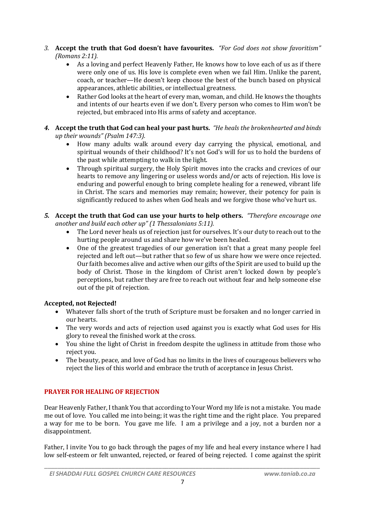- *3.* **Accept the truth that God doesn't have favourites.** *"For God does not show favoritism" (Romans 2:11).*
	- As a loving and perfect Heavenly Father, He knows how to love each of us as if there were only one of us. His love is complete even when we fail Him. Unlike the parent, coach, or teacher—He doesn't keep choose the best of the bunch based on physical appearances, athletic abilities, or intellectual greatness.
	- Rather God looks at the heart of every man, woman, and child. He knows the thoughts and intents of our hearts even if we don't. Every person who comes to Him won't be rejected, but embraced into His arms of safety and acceptance.
- *4.* **Accept the truth that God can heal your past hurts.** *"He heals the brokenhearted and binds up their wounds" (Psalm 147:3).*
	- How many adults walk around every day carrying the physical, emotional, and spiritual wounds of their childhood? It's not God's will for us to hold the burdens of the past while attempting to walk in the light.
	- Through spiritual surgery, the Holy Spirit moves into the cracks and crevices of our hearts to remove any lingering or useless words and/or acts of rejection. His love is enduring and powerful enough to bring complete healing for a renewed, vibrant life in Christ. The scars and memories may remain; however, their potency for pain is significantly reduced to ashes when God heals and we forgive those who've hurt us.
- *5.* **Accept the truth that God can use your hurts to help others.** *"Therefore encourage one another and build each other up" (1 Thessalonians 5:11).*
	- The Lord never heals us of rejection just for ourselves. It's our duty to reach out to the hurting people around us and share how we've been healed.
	- One of the greatest tragedies of our generation isn't that a great many people feel rejected and left out—but rather that so few of us share how we were once rejected. Our faith becomes alive and active when our gifts of the Spirit are used to build up the body of Christ. Those in the kingdom of Christ aren't locked down by people's perceptions, but rather they are free to reach out without fear and help someone else out of the pit of rejection.

# **Accepted, not Rejected!**

- Whatever falls short of the truth of Scripture must be forsaken and no longer carried in our hearts.
- The very words and acts of rejection used against you is exactly what God uses for His glory to reveal the finished work at the cross.
- You shine the light of Christ in freedom despite the ugliness in attitude from those who reject you.
- The beauty, peace, and love of God has no limits in the lives of courageous believers who reject the lies of this world and embrace the truth of acceptance in Jesus Christ.

# **PRAYER FOR HEALING OF REJECTION**

Dear Heavenly Father, I thank You that according to Your Word my life is not a mistake. You made me out of love. You called me into being; it was the right time and the right place. You prepared a way for me to be born. You gave me life. I am a privilege and a joy, not a burden nor a disappointment.

Father, I invite You to go back through the pages of my life and heal every instance where I had low self-esteem or felt unwanted, rejected, or feared of being rejected. I come against the spirit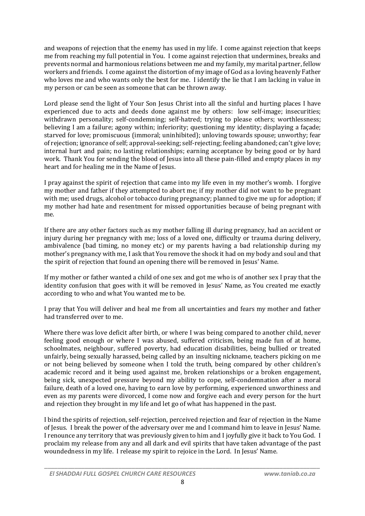and weapons of rejection that the enemy has used in my life. I come against rejection that keeps me from reaching my full potential in You. I come against rejection that undermines, breaks and prevents normal and harmonious relations between me and my family, my marital partner, fellow workers and friends. I come against the distortion of my image of God as a loving heavenly Father who loves me and who wants only the best for me. I identify the lie that I am lacking in value in my person or can be seen as someone that can be thrown away.

Lord please send the light of Your Son Jesus Christ into all the sinful and hurting places I have experienced due to acts and deeds done against me by others: low self-image; insecurities; withdrawn personality; self-condemning; self-hatred; trying to please others; worthlessness; believing I am a failure; agony within; inferiority; questioning my identity; displaying a façade; starved for love; promiscuous (immoral; uninhibited); unloving towards spouse; unworthy; fear of rejection; ignorance of self; approval-seeking; self-rejecting; feeling abandoned; can't give love; internal hurt and pain; no lasting relationships; earning acceptance by being good or by hard work. Thank You for sending the blood of Jesus into all these pain-filled and empty places in my heart and for healing me in the Name of Jesus.

I pray against the spirit of rejection that came into my life even in my mother's womb. I forgive my mother and father if they attempted to abort me; if my mother did not want to be pregnant with me; used drugs, alcohol or tobacco during pregnancy; planned to give me up for adoption; if my mother had hate and resentment for missed opportunities because of being pregnant with me.

If there are any other factors such as my mother falling ill during pregnancy, had an accident or injury during her pregnancy with me; loss of a loved one, difficulty or trauma during delivery, ambivalence (bad timing, no money etc) or my parents having a bad relationship during my mother's pregnancy with me, I ask that You remove the shock it had on my body and soul and that the spirit of rejection that found an opening there will be removed in Jesus' Name.

If my mother or father wanted a child of one sex and got me who is of another sex I pray that the identity confusion that goes with it will be removed in Jesus' Name, as You created me exactly according to who and what You wanted me to be.

I pray that You will deliver and heal me from all uncertainties and fears my mother and father had transferred over to me.

Where there was love deficit after birth, or where I was being compared to another child, never feeling good enough or where I was abused, suffered criticism, being made fun of at home, schoolmates, neighbour, suffered poverty, had education disabilities, being bullied or treated unfairly, being sexually harassed, being called by an insulting nickname, teachers picking on me or not being believed by someone when I told the truth, being compared by other children's academic record and it being used against me, broken relationships or a broken engagement, being sick, unexpected pressure beyond my ability to cope, self-condemnation after a moral failure, death of a loved one, having to earn love by performing, experienced unworthiness and even as my parents were divorced, I come now and forgive each and every person for the hurt and rejection they brought in my life and let go of what has happened in the past.

I bind the spirits of rejection, self-rejection, perceived rejection and fear of rejection in the Name of Jesus. I break the power of the adversary over me and I command him to leave in Jesus' Name. I renounce any territory that was previously given to him and I joyfully give it back to You God. I proclaim my release from any and all dark and evil spirits that have taken advantage of the past woundedness in my life. I release my spirit to rejoice in the Lord. In Jesus' Name.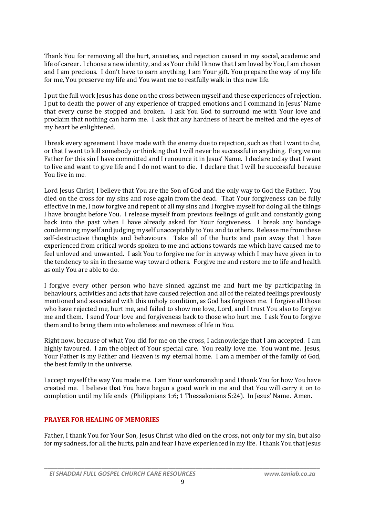Thank You for removing all the hurt, anxieties, and rejection caused in my social, academic and life of career. I choose a new identity, and as Your child I know that I am loved by You, I am chosen and I am precious. I don't have to earn anything, I am Your gift. You prepare the way of my life for me, You preserve my life and You want me to restfully walk in this new life.

I put the full work Jesus has done on the cross between myself and these experiences of rejection. I put to death the power of any experience of trapped emotions and I command in Jesus' Name that every curse be stopped and broken. I ask You God to surround me with Your love and proclaim that nothing can harm me. I ask that any hardness of heart be melted and the eyes of my heart be enlightened.

I break every agreement I have made with the enemy due to rejection, such as that I want to die, or that I want to kill somebody or thinking that I will never be successful in anything. Forgive me Father for this sin I have committed and I renounce it in Jesus' Name. I declare today that I want to live and want to give life and I do not want to die. I declare that I will be successful because You live in me.

Lord Jesus Christ, I believe that You are the Son of God and the only way to God the Father. You died on the cross for my sins and rose again from the dead. That Your forgiveness can be fully effective in me, I now forgive and repent of all my sins and I forgive myself for doing all the things I have brought before You. I release myself from previous feelings of guilt and constantly going back into the past when I have already asked for Your forgiveness. I break any bondage condemning myself and judging myself unacceptably to You and to others. Release me from these self-destructive thoughts and behaviours. Take all of the hurts and pain away that I have experienced from critical words spoken to me and actions towards me which have caused me to feel unloved and unwanted. I ask You to forgive me for in anyway which I may have given in to the tendency to sin in the same way toward others. Forgive me and restore me to life and health as only You are able to do.

I forgive every other person who have sinned against me and hurt me by participating in behaviours, activities and acts that have caused rejection and all of the related feelings previously mentioned and associated with this unholy condition, as God has forgiven me. I forgive all those who have rejected me, hurt me, and failed to show me love, Lord, and I trust You also to forgive me and them. I send Your love and forgiveness back to those who hurt me. I ask You to forgive them and to bring them into wholeness and newness of life in You.

Right now, because of what You did for me on the cross, I acknowledge that I am accepted. I am highly favoured. I am the object of Your special care. You really love me. You want me. Jesus, Your Father is my Father and Heaven is my eternal home. I am a member of the family of God, the best family in the universe.

I accept myself the way You made me. I am Your workmanship and I thank You for how You have created me. I believe that You have begun a good work in me and that You will carry it on to completion until my life ends (Philippians 1:6; 1 Thessalonians 5:24). In Jesus' Name. Amen.

## **PRAYER FOR HEALING OF MEMORIES**

Father, I thank You for Your Son, Jesus Christ who died on the cross, not only for my sin, but also for my sadness, for all the hurts, pain and fear I have experienced in my life. I thank You that Jesus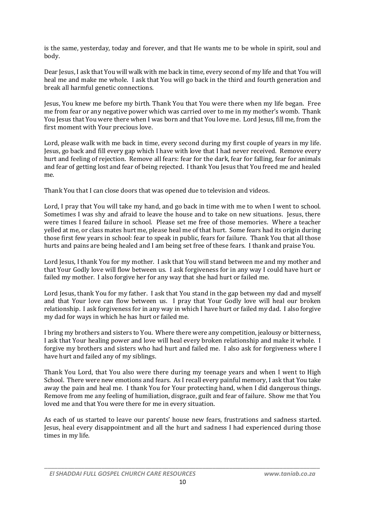is the same, yesterday, today and forever, and that He wants me to be whole in spirit, soul and body.

Dear Jesus, I ask that You will walk with me back in time, every second of my life and that You will heal me and make me whole. I ask that You will go back in the third and fourth generation and break all harmful genetic connections.

Jesus, You knew me before my birth. Thank You that You were there when my life began. Free me from fear or any negative power which was carried over to me in my mother's womb. Thank You Jesus that You were there when I was born and that You love me. Lord Jesus, fill me, from the first moment with Your precious love.

Lord, please walk with me back in time, every second during my first couple of years in my life. Jesus, go back and fill every gap which I have with love that I had never received. Remove every hurt and feeling of rejection. Remove all fears: fear for the dark, fear for falling, fear for animals and fear of getting lost and fear of being rejected. I thank You Jesus that You freed me and healed me.

Thank You that I can close doors that was opened due to television and videos.

Lord, I pray that You will take my hand, and go back in time with me to when I went to school. Sometimes I was shy and afraid to leave the house and to take on new situations. Jesus, there were times I feared failure in school. Please set me free of those memories. Where a teacher yelled at me, or class mates hurt me, please heal me of that hurt. Some fears had its origin during those first few years in school: fear to speak in public, fears for failure. Thank You that all those hurts and pains are being healed and I am being set free of these fears. I thank and praise You.

Lord Jesus, I thank You for my mother. I ask that You will stand between me and my mother and that Your Godly love will flow between us. I ask forgiveness for in any way I could have hurt or failed my mother. I also forgive her for any way that she had hurt or failed me.

Lord Jesus, thank You for my father. I ask that You stand in the gap between my dad and myself and that Your love can flow between us. I pray that Your Godly love will heal our broken relationship. I ask forgiveness for in any way in which I have hurt or failed my dad. I also forgive my dad for ways in which he has hurt or failed me.

I bring my brothers and sisters to You. Where there were any competition, jealousy or bitterness, I ask that Your healing power and love will heal every broken relationship and make it whole. I forgive my brothers and sisters who had hurt and failed me. I also ask for forgiveness where I have hurt and failed any of my siblings.

Thank You Lord, that You also were there during my teenage years and when I went to High School. There were new emotions and fears. As I recall every painful memory, I ask that You take away the pain and heal me. I thank You for Your protecting hand, when I did dangerous things. Remove from me any feeling of humiliation, disgrace, guilt and fear of failure. Show me that You loved me and that You were there for me in every situation.

As each of us started to leave our parents' house new fears, frustrations and sadness started. Jesus, heal every disappointment and all the hurt and sadness I had experienced during those times in my life.